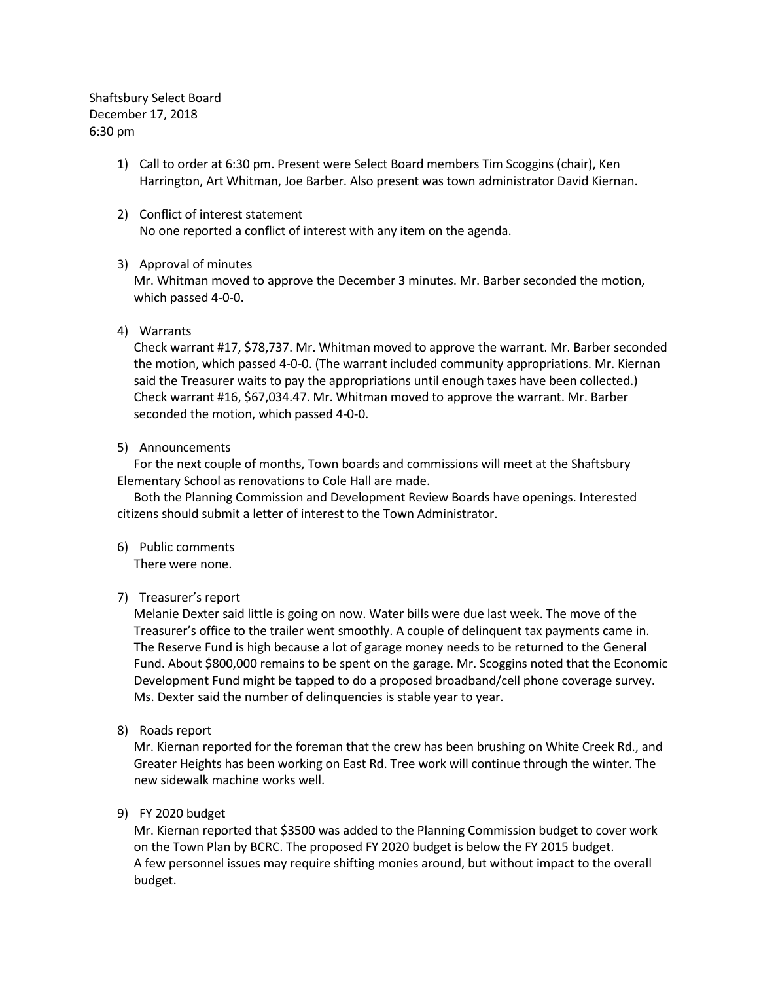Shaftsbury Select Board December 17, 2018 6:30 pm

- 1) Call to order at 6:30 pm. Present were Select Board members Tim Scoggins (chair), Ken Harrington, Art Whitman, Joe Barber. Also present was town administrator David Kiernan.
- 2) Conflict of interest statement No one reported a conflict of interest with any item on the agenda.

## 3) Approval of minutes

Mr. Whitman moved to approve the December 3 minutes. Mr. Barber seconded the motion, which passed 4-0-0.

## 4) Warrants

Check warrant #17, \$78,737. Mr. Whitman moved to approve the warrant. Mr. Barber seconded the motion, which passed 4-0-0. (The warrant included community appropriations. Mr. Kiernan said the Treasurer waits to pay the appropriations until enough taxes have been collected.) Check warrant #16, \$67,034.47. Mr. Whitman moved to approve the warrant. Mr. Barber seconded the motion, which passed 4-0-0.

## 5) Announcements

For the next couple of months, Town boards and commissions will meet at the Shaftsbury Elementary School as renovations to Cole Hall are made.

Both the Planning Commission and Development Review Boards have openings. Interested citizens should submit a letter of interest to the Town Administrator.

## 6) Public comments

There were none.

# 7) Treasurer's report

Melanie Dexter said little is going on now. Water bills were due last week. The move of the Treasurer's office to the trailer went smoothly. A couple of delinquent tax payments came in. The Reserve Fund is high because a lot of garage money needs to be returned to the General Fund. About \$800,000 remains to be spent on the garage. Mr. Scoggins noted that the Economic Development Fund might be tapped to do a proposed broadband/cell phone coverage survey. Ms. Dexter said the number of delinquencies is stable year to year.

8) Roads report

Mr. Kiernan reported for the foreman that the crew has been brushing on White Creek Rd., and Greater Heights has been working on East Rd. Tree work will continue through the winter. The new sidewalk machine works well.

# 9) FY 2020 budget

Mr. Kiernan reported that \$3500 was added to the Planning Commission budget to cover work on the Town Plan by BCRC. The proposed FY 2020 budget is below the FY 2015 budget. A few personnel issues may require shifting monies around, but without impact to the overall budget.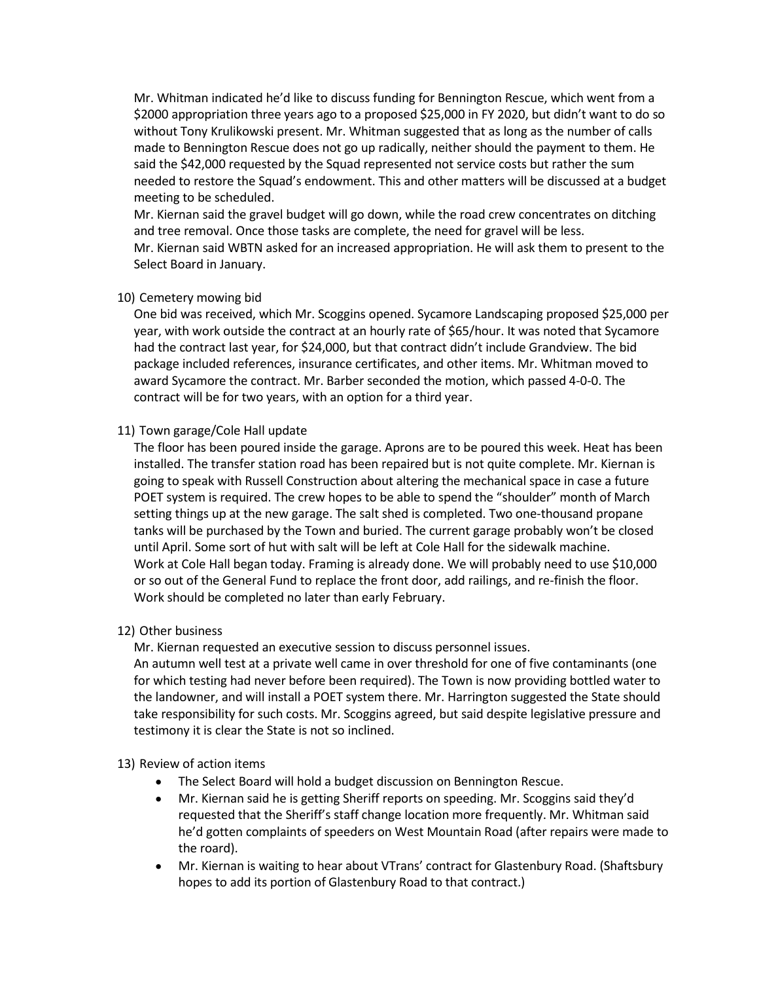Mr. Whitman indicated he'd like to discuss funding for Bennington Rescue, which went from a \$2000 appropriation three years ago to a proposed \$25,000 in FY 2020, but didn't want to do so without Tony Krulikowski present. Mr. Whitman suggested that as long as the number of calls made to Bennington Rescue does not go up radically, neither should the payment to them. He said the \$42,000 requested by the Squad represented not service costs but rather the sum needed to restore the Squad's endowment. This and other matters will be discussed at a budget meeting to be scheduled.

Mr. Kiernan said the gravel budget will go down, while the road crew concentrates on ditching and tree removal. Once those tasks are complete, the need for gravel will be less. Mr. Kiernan said WBTN asked for an increased appropriation. He will ask them to present to the Select Board in January.

## 10) Cemetery mowing bid

One bid was received, which Mr. Scoggins opened. Sycamore Landscaping proposed \$25,000 per year, with work outside the contract at an hourly rate of \$65/hour. It was noted that Sycamore had the contract last year, for \$24,000, but that contract didn't include Grandview. The bid package included references, insurance certificates, and other items. Mr. Whitman moved to award Sycamore the contract. Mr. Barber seconded the motion, which passed 4-0-0. The contract will be for two years, with an option for a third year.

## 11) Town garage/Cole Hall update

The floor has been poured inside the garage. Aprons are to be poured this week. Heat has been installed. The transfer station road has been repaired but is not quite complete. Mr. Kiernan is going to speak with Russell Construction about altering the mechanical space in case a future POET system is required. The crew hopes to be able to spend the "shoulder" month of March setting things up at the new garage. The salt shed is completed. Two one-thousand propane tanks will be purchased by the Town and buried. The current garage probably won't be closed until April. Some sort of hut with salt will be left at Cole Hall for the sidewalk machine. Work at Cole Hall began today. Framing is already done. We will probably need to use \$10,000 or so out of the General Fund to replace the front door, add railings, and re-finish the floor. Work should be completed no later than early February.

# 12) Other business

Mr. Kiernan requested an executive session to discuss personnel issues.

An autumn well test at a private well came in over threshold for one of five contaminants (one for which testing had never before been required). The Town is now providing bottled water to the landowner, and will install a POET system there. Mr. Harrington suggested the State should take responsibility for such costs. Mr. Scoggins agreed, but said despite legislative pressure and testimony it is clear the State is not so inclined.

# 13) Review of action items

- The Select Board will hold a budget discussion on Bennington Rescue.
- Mr. Kiernan said he is getting Sheriff reports on speeding. Mr. Scoggins said they'd requested that the Sheriff's staff change location more frequently. Mr. Whitman said he'd gotten complaints of speeders on West Mountain Road (after repairs were made to the roard).
- Mr. Kiernan is waiting to hear about VTrans' contract for Glastenbury Road. (Shaftsbury hopes to add its portion of Glastenbury Road to that contract.)